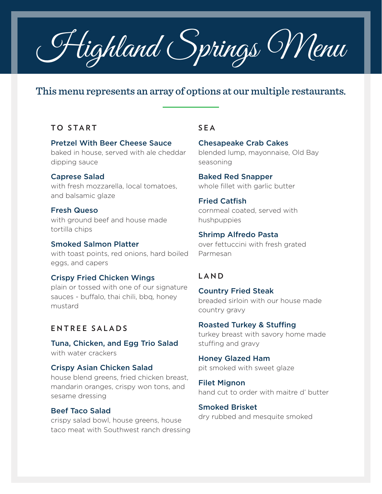Highland Springs Menu

# This menu represents an array of options at our multiple restaurants.

### **TO START**

Pretzel With Beer Cheese Sauce baked in house, served with ale cheddar dipping sauce

Caprese Salad with fresh mozzarella, local tomatoes, and balsamic glaze

Fresh Queso with ground beef and house made tortilla chips

Smoked Salmon Platter with toast points, red onions, hard boiled eggs, and capers

Crispy Fried Chicken Wings plain or tossed with one of our signature sauces - buffalo, thai chili, bbq, honey mustard

## **ENTREE SALADS**

Tuna, Chicken, and Egg Trio Salad with water crackers

Crispy Asian Chicken Salad house blend greens, fried chicken breast, mandarin oranges, crispy won tons, and

# Beef Taco Salad

sesame dressing

crispy salad bowl, house greens, house taco meat with Southwest ranch dressing

### **SEA**

Chesapeake Crab Cakes blended lump, mayonnaise, Old Bay seasoning

Baked Red Snapper whole fillet with garlic butter

Fried Catfish cornmeal coated, served with hushpuppies

Shrimp Alfredo Pasta over fettuccini with fresh grated Parmesan

#### **LAND**

Country Fried Steak breaded sirloin with our house made country gravy

Roasted Turkey & Stuffing turkey breast with savory home made stuffing and gravy

Honey Glazed Ham pit smoked with sweet glaze

Filet Mignon hand cut to order with maitre d' butter

Smoked Brisket dry rubbed and mesquite smoked